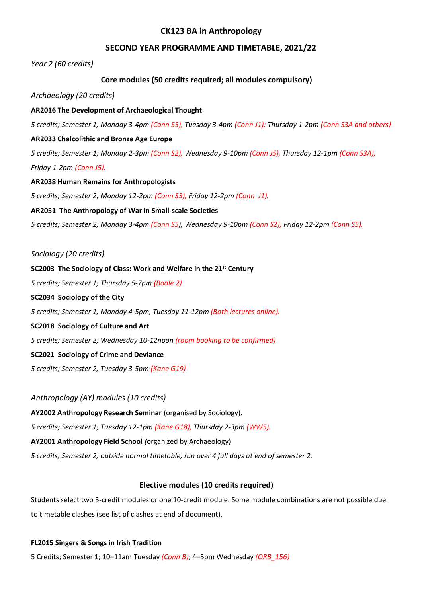## **CK123 BA in Anthropology**

# **SECOND YEAR PROGRAMME AND TIMETABLE, 2021/22**

*Year 2 (60 credits)*

# **Core modules (50 credits required; all modules compulsory)**

*Archaeology (20 credits)*

### **AR2016 The Development of Archaeological Thought**

*5 credits; Semester 1; Monday 3-4pm (Conn S5), Tuesday 3-4pm (Conn J1); Thursday 1-2pm (Conn S3A and others)*

### **AR2033 Chalcolithic and Bronze Age Europe**

*5 credits; Semester 1; Monday 2-3pm (Conn S2), Wednesday 9-10pm (Conn J5), Thursday 12-1pm (Conn S3A), Friday 1-2pm (Conn J5).*

### **AR2038 Human Remains for Anthropologists**

*5 credits; Semester 2; Monday 12-2pm (Conn S3), Friday 12-2pm (Conn J1).*

### **AR2051 The Anthropology of War in Small-scale Societies**

*5 credits; Semester 2; Monday 3-4pm (Conn S5), Wednesday 9-10pm (Conn S2); Friday 12-2pm (Conn S5).*

### *Sociology (20 credits)*

# **SC2003 The Sociology of Class: Work and Welfare in the 21st Century**

*5 credits; Semester 1; Thursday 5-7pm (Boole 2)*

### **SC2034 Sociology of the City**

*5 credits; Semester 1; Monday 4-5pm, Tuesday 11-12pm (Both lectures online).*

### **SC2018 Sociology of Culture and Art**

*5 credits; Semester 2; Wednesday 10-12noon (room booking to be confirmed)*

## **SC2021 Sociology of Crime and Deviance**

*5 credits; Semester 2; Tuesday 3-5pm (Kane G19)*

## *Anthropology (AY) modules (10 credits)*

**AY2002 Anthropology Research Seminar** (organised by Sociology).

*5 credits; Semester 1; Tuesday 12-1pm (Kane G18), Thursday 2-3pm (WW5).*

## **AY2001 Anthropology Field School** *(*organized by Archaeology)

*5 credits; Semester 2; outside normal timetable, run over 4 full days at end of semester 2.*

## **Elective modules (10 credits required)**

Students select two 5-credit modules or one 10-credit module. Some module combinations are not possible due to timetable clashes (see list of clashes at end of document).

## **FL2015 Singers & Songs in Irish Tradition**

5 Credits; Semester 1; 10–11am Tuesday *(Conn B)*; 4–5pm Wednesday *(ORB\_156)*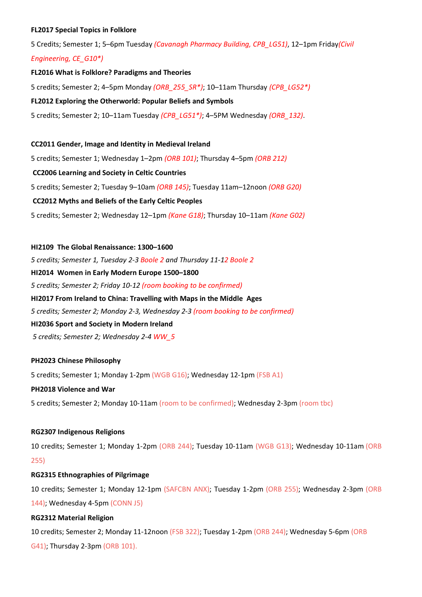### **FL2017 Special Topics in Folklore**

5 Credits; Semester 1; 5–6pm Tuesday *(Cavanagh Pharmacy Building, CPB\_LG51)*, 12–1pm Friday*(Civil*

### *Engineering, CE\_G10\*)*

#### **FL2016 What is Folklore? Paradigms and Theories**

5 credits; Semester 2; 4–5pm Monday *(ORB\_255\_SR\*)*; 10–11am Thursday *(CPB\_LG52\*)*

### **FL2012 Exploring the Otherworld: Popular Beliefs and Symbols**

5 credits; Semester 2; 10–11am Tuesday *(CPB\_LG51\*)*; 4–5PM Wednesday *(ORB\_132)*.

#### **CC2011 Gender, Image and Identity in Medieval Ireland**

5 credits; Semester 1; Wednesday 1–2pm *(ORB 101)*; Thursday 4–5pm *(ORB 212)*

### **CC2006 Learning and Society in Celtic Countries**

5 credits; Semester 2; Tuesday 9–10am *(ORB 145)*; Tuesday 11am–12noon *(ORB G20)*

### **CC2012 Myths and Beliefs of the Early Celtic Peoples**

5 credits; Semester 2; Wednesday 12–1pm *(Kane G18)*; Thursday 10–11am *(Kane G02)*

**HI2109 The Global Renaissance: 1300–1600** *5 credits; Semester 1, Tuesday 2-3 Boole 2 and Thursday 11-12 Boole 2* **HI2014 Women in Early Modern Europe 1500–1800** *5 credits; Semester 2; Friday 10-12 (room booking to be confirmed)* **HI2017 From Ireland to China: Travelling with Maps in the Middle Ages** *5 credits; Semester 2; Monday 2-3, Wednesday 2-3 (room booking to be confirmed)* **HI2036 Sport and Society in Modern Ireland** *5 credits; Semester 2; Wednesday 2-4 WW\_5*

#### **PH2023 Chinese Philosophy**

5 credits; Semester 1; Monday 1-2pm (WGB G16); Wednesday 12-1pm (FSB A1)

#### **PH2018 Violence and War**

5 credits; Semester 2; Monday 10-11am (room to be confirmed); Wednesday 2-3pm (room tbc)

### **RG2307 Indigenous Religions**

10 credits; Semester 1; Monday 1-2pm (ORB 244); Tuesday 10-11am (WGB G13); Wednesday 10-11am (ORB 255)

#### **RG2315 Ethnographies of Pilgrimage**

10 credits; Semester 1; Monday 12-1pm (SAFCBN ANX); Tuesday 1-2pm (ORB 255); Wednesday 2-3pm (ORB 144); Wednesday 4-5pm (CONN J5)

#### **RG2312 Material Religion**

10 credits; Semester 2; Monday 11-12noon (FSB 322); Tuesday 1-2pm (ORB 244); Wednesday 5-6pm (ORB G41); Thursday 2-3pm (ORB 101).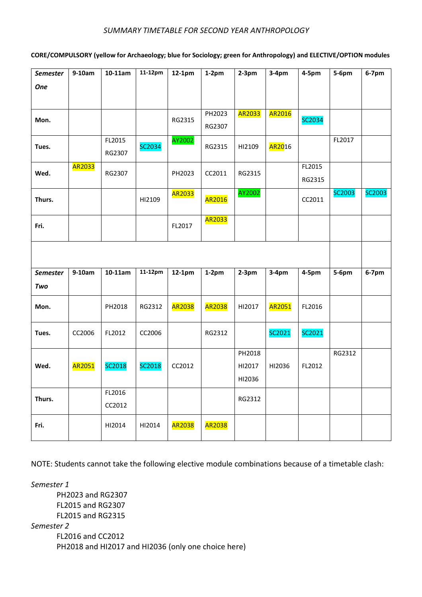## *SUMMARY TIMETABLE FOR SECOND YEAR ANTHROPOLOGY*

# **CORE/COMPULSORY (yellow for Archaeology; blue for Sociology; green for Anthropology) and ELECTIVE/OPTION modules**

| <b>Semester</b> | $9-10am$ | 10-11am   | 11-12pm | 12-1pm        | $1-2pm$ | $2-3pm$ | $3-4pm$              | 4-5pm  | 5-6pm  | $6-7$ pm      |
|-----------------|----------|-----------|---------|---------------|---------|---------|----------------------|--------|--------|---------------|
| <b>One</b>      |          |           |         |               |         |         |                      |        |        |               |
|                 |          |           |         |               |         |         |                      |        |        |               |
|                 |          |           |         |               | PH2023  | AR2033  | AR2016               |        |        |               |
| Mon.            |          |           |         | RG2315        | RG2307  |         |                      | SC2034 |        |               |
|                 |          | FL2015    |         | AY2002        |         |         |                      |        | FL2017 |               |
| Tues.           |          | RG2307    | SC2034  |               | RG2315  | HI2109  | <mark>AR20</mark> 16 |        |        |               |
| Wed.            | AR2033   |           |         |               |         |         |                      | FL2015 |        |               |
|                 |          | RG2307    |         | PH2023        | CC2011  | RG2315  |                      | RG2315 |        |               |
| Thurs.          |          |           | HI2109  | AR2033        | AR2016  | AY2002  |                      |        | SC2003 | <b>SC2003</b> |
|                 |          |           |         |               |         |         |                      | CC2011 |        |               |
| Fri.            |          |           |         | FL2017        | AR2033  |         |                      |        |        |               |
|                 |          |           |         |               |         |         |                      |        |        |               |
|                 |          |           |         |               |         |         |                      |        |        |               |
|                 |          |           |         |               |         |         |                      |        |        |               |
| Semester        | $9-10am$ | $10-11am$ | 11-12pm | 12-1pm        | $1-2pm$ | $2-3pm$ | $3-4pm$              | 4-5pm  | 5-6pm  | $6-7$ pm      |
| Two             |          |           |         |               |         |         |                      |        |        |               |
| Mon.            |          | PH2018    | RG2312  | <b>AR2038</b> | AR2038  | HI2017  | AR2051               | FL2016 |        |               |
|                 |          |           |         |               |         |         |                      |        |        |               |
| Tues.           | CC2006   | FL2012    | CC2006  |               | RG2312  |         | SC2021               | SC2021 |        |               |
|                 |          |           |         |               |         |         |                      |        |        |               |
|                 |          |           |         |               |         | PH2018  |                      |        | RG2312 |               |
| Wed.            | AR2051   | SC2018    | SC2018  | CC2012        |         | HI2017  | HI2036               | FL2012 |        |               |
|                 |          |           |         |               |         | HI2036  |                      |        |        |               |
| Thurs.          |          | FL2016    |         |               |         | RG2312  |                      |        |        |               |
|                 |          | CC2012    |         |               |         |         |                      |        |        |               |
| Fri.            |          | HI2014    | HI2014  | <b>AR2038</b> | AR2038  |         |                      |        |        |               |
|                 |          |           |         |               |         |         |                      |        |        |               |

NOTE: Students cannot take the following elective module combinations because of a timetable clash:

*Semester 1* PH2023 and RG2307 FL2015 and RG2307 FL2015 and RG2315 *Semester 2* FL2016 and CC2012 PH2018 and HI2017 and HI2036 (only one choice here)